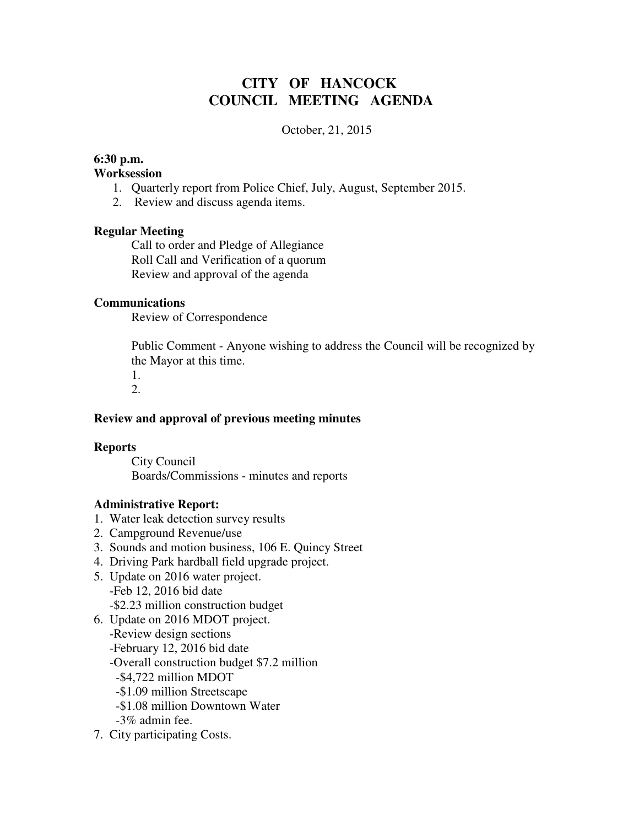# **CITY OF HANCOCK COUNCIL MEETING AGENDA**

### October, 21, 2015

### **6:30 p.m.**

#### **Worksession**

- 1. Quarterly report from Police Chief, July, August, September 2015.
- 2. Review and discuss agenda items.

### **Regular Meeting**

 Call to order and Pledge of Allegiance Roll Call and Verification of a quorum Review and approval of the agenda

### **Communications**

Review of Correspondence

 Public Comment - Anyone wishing to address the Council will be recognized by the Mayor at this time.

1.

## 2.

### **Review and approval of previous meeting minutes**

### **Reports**

City Council Boards/Commissions - minutes and reports

### **Administrative Report:**

- 1. Water leak detection survey results
- 2. Campground Revenue/use
- 3. Sounds and motion business, 106 E. Quincy Street
- 4. Driving Park hardball field upgrade project.
- 5. Update on 2016 water project. -Feb 12, 2016 bid date -\$2.23 million construction budget
- 6. Update on 2016 MDOT project.
	- -Review design sections
	- -February 12, 2016 bid date
	- -Overall construction budget \$7.2 million
	- -\$4,722 million MDOT
	- -\$1.09 million Streetscape
	- -\$1.08 million Downtown Water
	- -3% admin fee.
- 7. City participating Costs.